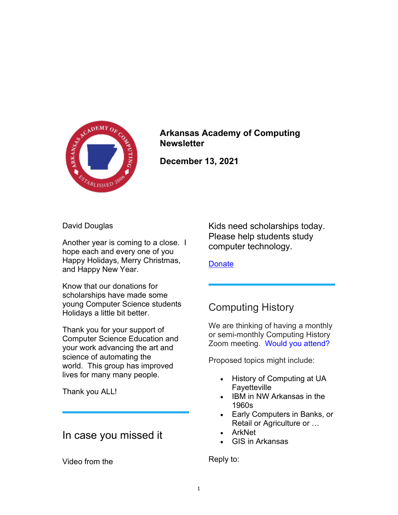

## Arkansas Academy of Computing **Newsletter**

December 13, 2021

David Douglas

Another year is coming to a close. I hope each and every one of you Happy Holidays, Merry Christmas, and Happy New Year.

Know that our donations for scholarships have made some young Computer Science students Holidays a little bit better.

Thank you for your support of Computer Science Education and your work advancing the art and science of automating the world. This group has improved lives for many many people.

Thank you ALL!

## In case you missed it

Video from the

Kids need scholarships today. Please help students study computer technology.

**Donate** 

# Computing History

We are thinking of having a monthly or semi-monthly Computing History Zoom meeting. Would you attend?

Proposed topics might include:

- History of Computing at UA **Favetteville**
- IBM in NW Arkansas in the 1960s
- Early Computers in Banks, or Retail or Agriculture or …
- ArkNet
- GIS in Arkansas

Reply to: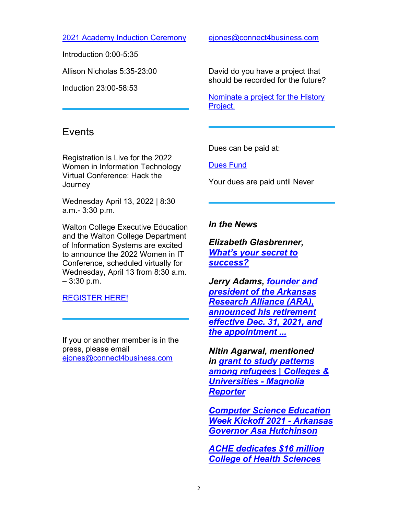2021 Academy Induction Ceremony

Introduction 0:00-5:35

Allison Nicholas 5:35-23:00

Induction 23:00-58:53

## **Events**

Registration is Live for the 2022 Women in Information Technology Virtual Conference: Hack the **Journey** 

Wednesday April 13, 2022 | 8:30 a.m.- 3:30 p.m.

Walton College Executive Education and the Walton College Department of Information Systems are excited to announce the 2022 Women in IT Conference, scheduled virtually for Wednesday, April 13 from 8:30 a.m. – 3:30 p.m.

REGISTER HERE!

If you or another member is in the press, please email ejones@connect4business.com

ejones@connect4business.com

David do you have a project that should be recorded for the future?

Nominate a project for the History Project.

Dues can be paid at:

Dues Fund

Your dues are paid until Never

### In the News

Elizabeth Glasbrenner, What's your secret to success?

Jerry Adams, founder and president of the Arkansas Research Alliance (ARA), announced his retirement effective Dec. 31, 2021, and the appointment ...

Nitin Agarwal, mentioned in grant to study patterns among refugees | Colleges & Universities - Magnolia **Reporter** 

Computer Science Education Week Kickoff 2021 - Arkansas Governor Asa Hutchinson

ACHE dedicates \$16 million College of Health Sciences